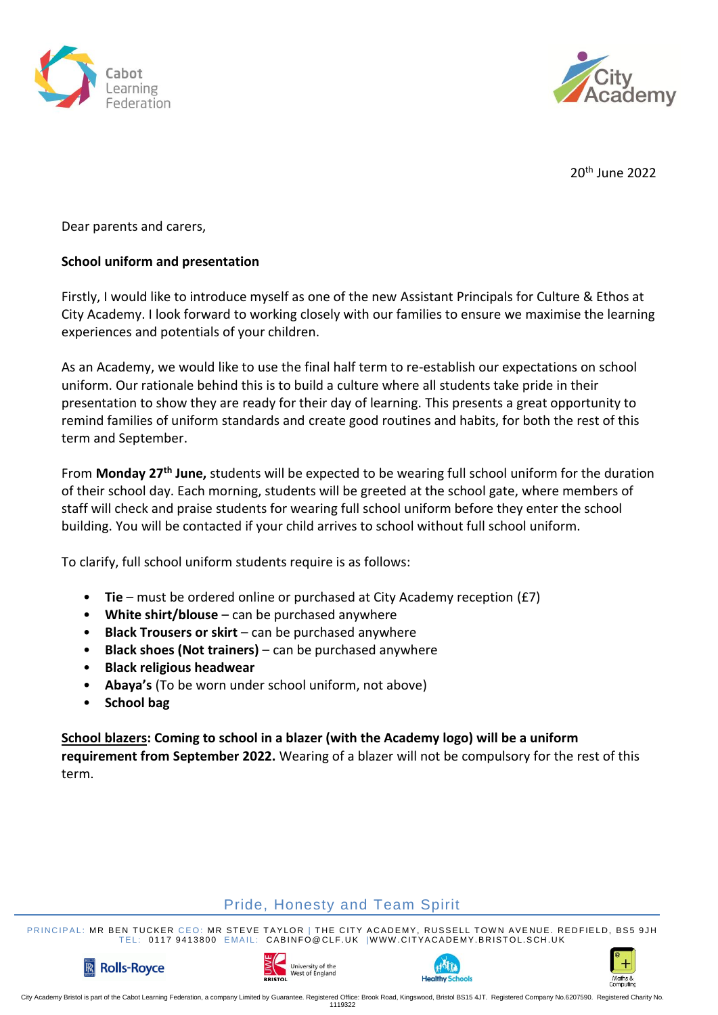



20th June 2022

Dear parents and carers,

### **School uniform and presentation**

Firstly, I would like to introduce myself as one of the new Assistant Principals for Culture & Ethos at City Academy. I look forward to working closely with our families to ensure we maximise the learning experiences and potentials of your children.

As an Academy, we would like to use the final half term to re-establish our expectations on school uniform. Our rationale behind this is to build a culture where all students take pride in their presentation to show they are ready for their day of learning. This presents a great opportunity to remind families of uniform standards and create good routines and habits, for both the rest of this term and September.

From **Monday 27th June,** students will be expected to be wearing full school uniform for the duration of their school day. Each morning, students will be greeted at the school gate, where members of staff will check and praise students for wearing full school uniform before they enter the school building. You will be contacted if your child arrives to school without full school uniform.

To clarify, full school uniform students require is as follows:

- **Tie** must be ordered online or purchased at City Academy reception (£7)
- **White shirt/blouse** can be purchased anywhere
- **Black Trousers or skirt** can be purchased anywhere
- **Black shoes (Not trainers)** can be purchased anywhere
- **Black religious headwear**
- **Abaya's** (To be worn under school uniform, not above)
- **School bag**

**School blazers: Coming to school in a blazer (with the Academy logo) will be a uniform requirement from September 2022.** Wearing of a blazer will not be compulsory for the rest of this term.

## Pride, Honesty and Team Spirit

PRINCIPAL: MR BEN TUCKER CEO: MR STEVE TAYLOR | THE CITY ACADEMY, RUSSELL TOWN AVENUE. REDFIELD, BS5 9JH TEL: 0117 9413800 EMAIL: CABINFO@CLF.UK |WWW.CITYACADEMY.BRISTOL.SCH.UK







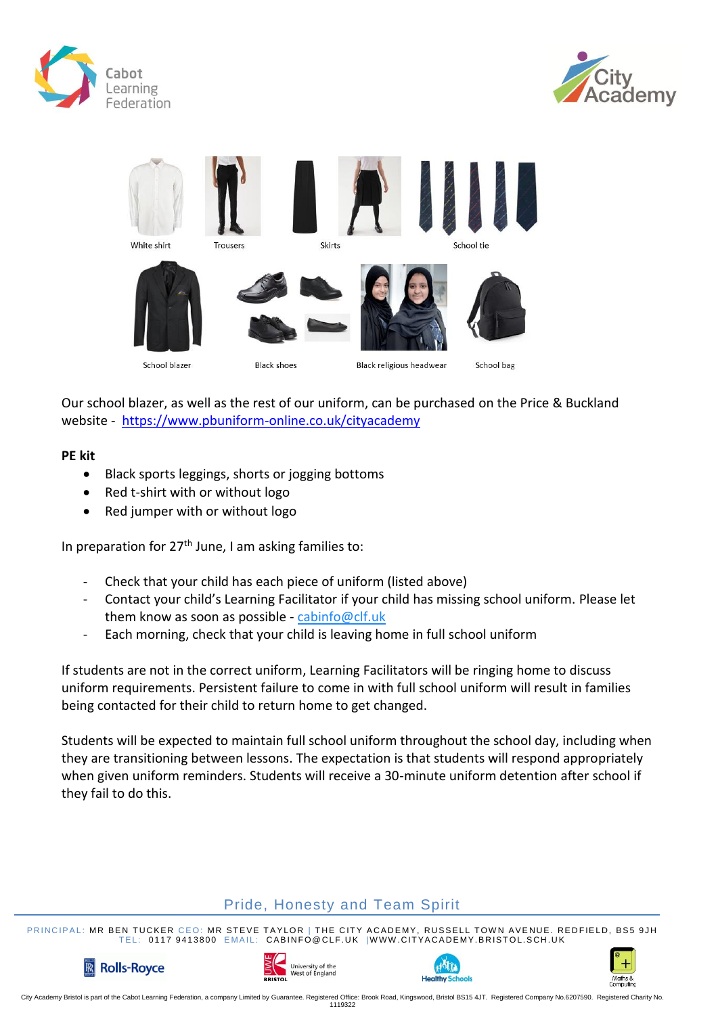





Our school blazer, as well as the rest of our uniform, can be purchased on the Price & Buckland website - <https://www.pbuniform-online.co.uk/cityacademy>

#### **PE kit**

- Black sports leggings, shorts or jogging bottoms
- Red t-shirt with or without logo
- Red jumper with or without logo

In preparation for  $27<sup>th</sup>$  June, I am asking families to:

- Check that your child has each piece of uniform (listed above)
- Contact your child's Learning Facilitator if your child has missing school uniform. Please let them know as soon as possible - [cabinfo@clf.uk](mailto:cabinfo@clf.uk)
- Each morning, check that your child is leaving home in full school uniform

If students are not in the correct uniform, Learning Facilitators will be ringing home to discuss uniform requirements. Persistent failure to come in with full school uniform will result in families being contacted for their child to return home to get changed.

Students will be expected to maintain full school uniform throughout the school day, including when they are transitioning between lessons. The expectation is that students will respond appropriately when given uniform reminders. Students will receive a 30-minute uniform detention after school if they fail to do this.

# Pride, Honesty and Team Spirit

PRINCIPAL: MR BEN TUCKER CEO: MR STEVE TAYLOR | THE CITY ACADEMY, RUSSELL TOWN AVENUE. REDFIELD, BS5 9JH TEL: 0117 9413800 EMAIL: CABINFO@CLF.UK |WWW.CITYACADEMY.BRISTOL.SCH.UK